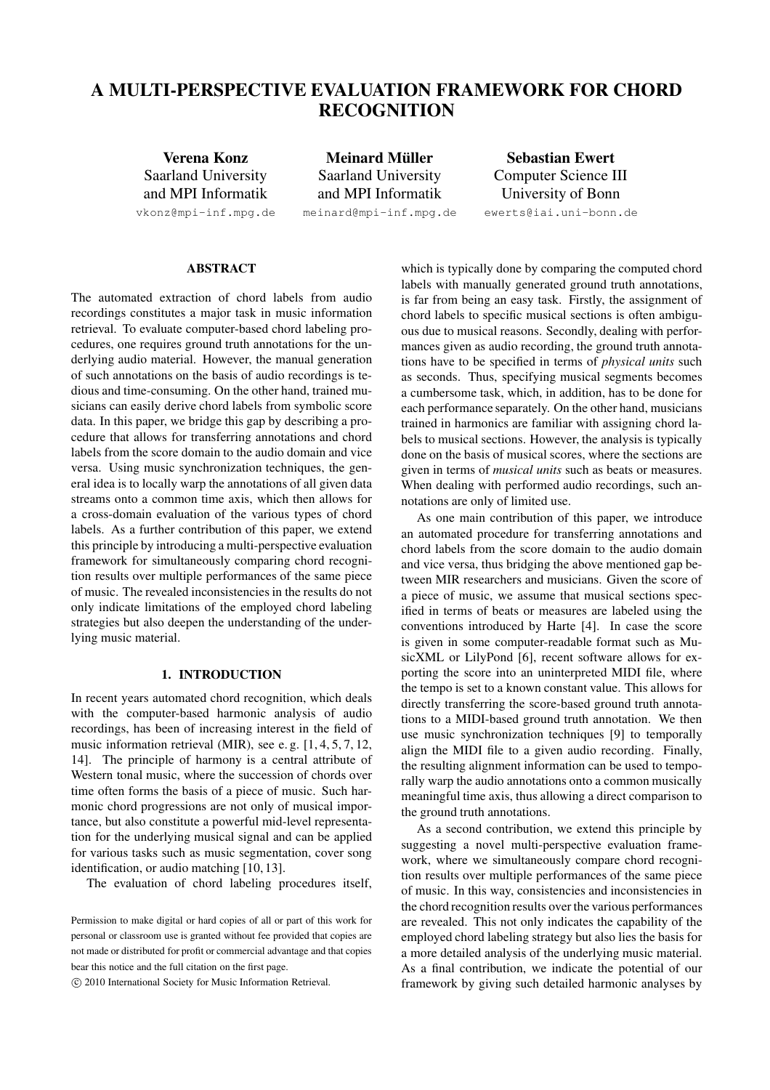# **A MULTI-PERSPECTIVE EVALUATION FRAMEWORK FOR CHORD RECOGNITION**

**Verena Konz** Saarland University and MPI Informatik vkonz@mpi-inf.mpg.de

**Meinard Müller** Saarland University and MPI Informatik

meinard@mpi-inf.mpg.de

**Sebastian Ewert** Computer Science III University of Bonn ewerts@iai.uni-bonn.de

#### **ABSTRACT**

The automated extraction of chord labels from audio recordings constitutes a major task in music information retrieval. To evaluate computer-based chord labeling procedures, one requires ground truth annotations for the underlying audio material. However, the manual generation of such annotations on the basis of audio recordings is tedious and time-consuming. On the other hand, trained musicians can easily derive chord labels from symbolic score data. In this paper, we bridge this gap by describing a procedure that allows for transferring annotations and chord labels from the score domain to the audio domain and vice versa. Using music synchronization techniques, the general idea is to locally warp the annotations of all given data streams onto a common time axis, which then allows for a cross-domain evaluation of the various types of chord labels. As a further contribution of this paper, we extend this principle by introducing a multi-perspective evaluation framework for simultaneously comparing chord recognition results over multiple performances of the same piece of music. The revealed inconsistencies in the results do not only indicate limitations of the employed chord labeling strategies but also deepen the understanding of the underlying music material.

## **1. INTRODUCTION**

In recent years automated chord recognition, which deals with the computer-based harmonic analysis of audio recordings, has been of increasing interest in the field of music information retrieval (MIR), see e. g. [1, 4, 5, 7, 12, 14]. The principle of harmony is a central attribute of Western tonal music, where the succession of chords over time often forms the basis of a piece of music. Such harmonic chord progressions are not only of musical importance, but also constitute a powerful mid-level representation for the underlying musical signal and can be applied for various tasks such as music segmentation, cover song identification, or audio matching [10, 13].

The evaluation of chord labeling procedures itself,

c 2010 International Society for Music Information Retrieval.

which is typically done by comparing the computed chord labels with manually generated ground truth annotations, is far from being an easy task. Firstly, the assignment of chord labels to specific musical sections is often ambiguous due to musical reasons. Secondly, dealing with performances given as audio recording, the ground truth annotations have to be specified in terms of *physical units* such as seconds. Thus, specifying musical segments becomes a cumbersome task, which, in addition, has to be done for each performance separately. On the other hand, musicians trained in harmonics are familiar with assigning chord labels to musical sections. However, the analysis is typically done on the basis of musical scores, where the sections are given in terms of *musical units* such as beats or measures. When dealing with performed audio recordings, such annotations are only of limited use.

As one main contribution of this paper, we introduce an automated procedure for transferring annotations and chord labels from the score domain to the audio domain and vice versa, thus bridging the above mentioned gap between MIR researchers and musicians. Given the score of a piece of music, we assume that musical sections specified in terms of beats or measures are labeled using the conventions introduced by Harte [4]. In case the score is given in some computer-readable format such as MusicXML or LilyPond [6], recent software allows for exporting the score into an uninterpreted MIDI file, where the tempo is set to a known constant value. This allows for directly transferring the score-based ground truth annotations to a MIDI-based ground truth annotation. We then use music synchronization techniques [9] to temporally align the MIDI file to a given audio recording. Finally, the resulting alignment information can be used to temporally warp the audio annotations onto a common musically meaningful time axis, thus allowing a direct comparison to the ground truth annotations.

As a second contribution, we extend this principle by suggesting a novel multi-perspective evaluation framework, where we simultaneously compare chord recognition results over multiple performances of the same piece of music. In this way, consistencies and inconsistencies in the chord recognition results over the various performances are revealed. This not only indicates the capability of the employed chord labeling strategy but also lies the basis for a more detailed analysis of the underlying music material. As a final contribution, we indicate the potential of our framework by giving such detailed harmonic analyses by

Permission to make digital or hard copies of all or part of this work for personal or classroom use is granted without fee provided that copies are not made or distributed for profit or commercial advantage and that copies bear this notice and the full citation on the first page.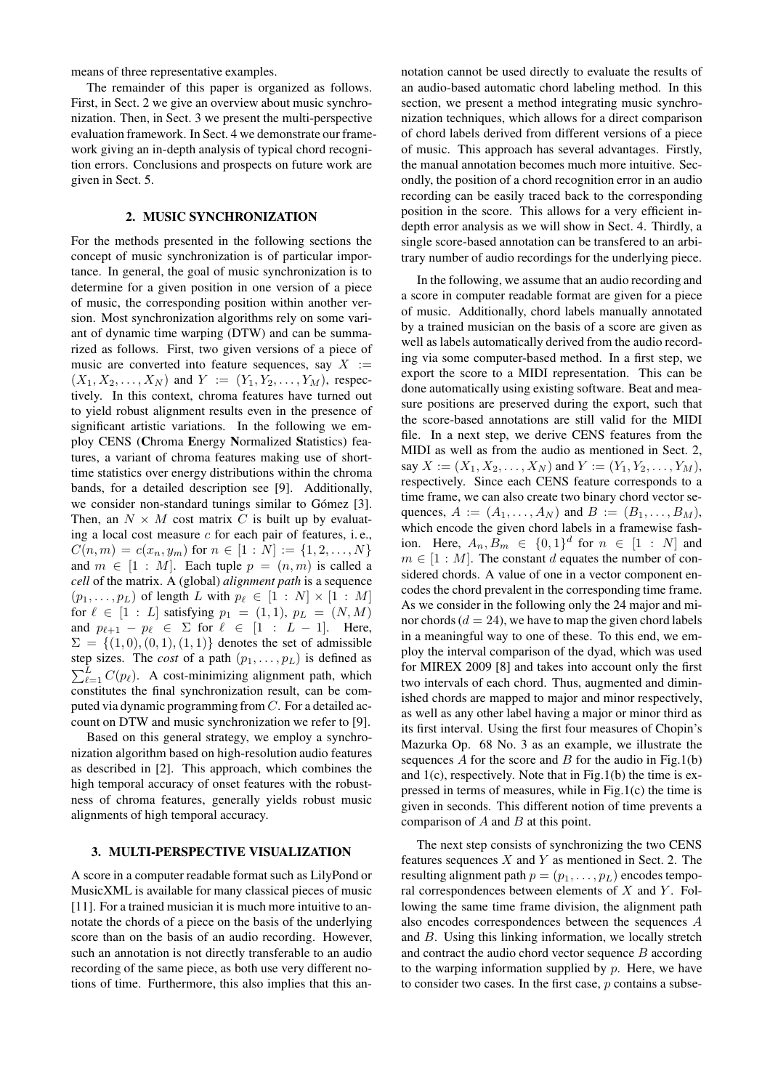means of three representative examples.

The remainder of this paper is organized as follows. First, in Sect. 2 we give an overview about music synchronization. Then, in Sect. 3 we present the multi-perspective evaluation framework. In Sect. 4 we demonstrate our framework giving an in-depth analysis of typical chord recognition errors. Conclusions and prospects on future work are given in Sect. 5.

### **2. MUSIC SYNCHRONIZATION**

For the methods presented in the following sections the concept of music synchronization is of particular importance. In general, the goal of music synchronization is to determine for a given position in one version of a piece of music, the corresponding position within another version. Most synchronization algorithms rely on some variant of dynamic time warping (DTW) and can be summarized as follows. First, two given versions of a piece of music are converted into feature sequences, say  $X :=$  $(X_1, X_2, \ldots, X_N)$  and  $Y := (Y_1, Y_2, \ldots, Y_M)$ , respectively. In this context, chroma features have turned out to yield robust alignment results even in the presence of significant artistic variations. In the following we employ CENS (**C**hroma **E**nergy **N**ormalized **S**tatistics) features, a variant of chroma features making use of shorttime statistics over energy distributions within the chroma bands, for a detailed description see [9]. Additionally, we consider non-standard tunings similar to Gómez [3]. Then, an  $N \times M$  cost matrix C is built up by evaluating a local cost measure  $c$  for each pair of features, i.e.,  $C(n, m) = c(x_n, y_m)$  for  $n \in [1 : N] := \{1, 2, ..., N\}$ and  $m \in [1 : M]$ . Each tuple  $p = (n, m)$  is called a *cell* of the matrix. A (global) *alignment path* is a sequence  $(p_1, \ldots, p_L)$  of length L with  $p_\ell \in [1:N] \times [1:M]$ for  $\ell \in [1 : L]$  satisfying  $p_1 = (1, 1), p_L = (N, M)$ and  $p_{\ell+1} - p_{\ell} \in \Sigma$  for  $\ell \in [1 : L - 1]$ . Here,  $\Sigma = \{(1, 0), (0, 1), (1, 1)\}\$  denotes the set of admissible step sizes. The *cost* of a path  $(p_1, \ldots, p_L)$  is defined as  $\sum_{\ell=1}^{L} C(p_{\ell})$ . A cost-minimizing alignment path, which constitutes the final synchronization result, can be computed via dynamic programming from  $C$ . For a detailed account on DTW and music synchronization we refer to [9].

Based on this general strategy, we employ a synchronization algorithm based on high-resolution audio features as described in [2]. This approach, which combines the high temporal accuracy of onset features with the robustness of chroma features, generally yields robust music alignments of high temporal accuracy.

#### **3. MULTI-PERSPECTIVE VISUALIZATION**

A score in a computer readable format such as LilyPond or MusicXML is available for many classical pieces of music [11]. For a trained musician it is much more intuitive to annotate the chords of a piece on the basis of the underlying score than on the basis of an audio recording. However, such an annotation is not directly transferable to an audio recording of the same piece, as both use very different notions of time. Furthermore, this also implies that this annotation cannot be used directly to evaluate the results of an audio-based automatic chord labeling method. In this section, we present a method integrating music synchronization techniques, which allows for a direct comparison of chord labels derived from different versions of a piece of music. This approach has several advantages. Firstly, the manual annotation becomes much more intuitive. Secondly, the position of a chord recognition error in an audio recording can be easily traced back to the corresponding position in the score. This allows for a very efficient indepth error analysis as we will show in Sect. 4. Thirdly, a single score-based annotation can be transfered to an arbitrary number of audio recordings for the underlying piece.

In the following, we assume that an audio recording and a score in computer readable format are given for a piece of music. Additionally, chord labels manually annotated by a trained musician on the basis of a score are given as well as labels automatically derived from the audio recording via some computer-based method. In a first step, we export the score to a MIDI representation. This can be done automatically using existing software. Beat and measure positions are preserved during the export, such that the score-based annotations are still valid for the MIDI file. In a next step, we derive CENS features from the MIDI as well as from the audio as mentioned in Sect. 2, say  $X := (X_1, X_2, \ldots, X_N)$  and  $Y := (Y_1, Y_2, \ldots, Y_M)$ , respectively. Since each CENS feature corresponds to a time frame, we can also create two binary chord vector sequences,  $A := (A_1, ..., A_N)$  and  $B := (B_1, ..., B_M)$ , which encode the given chord labels in a framewise fashion. Here,  $A_n, B_m \in \{0,1\}^d$  for  $n \in [1 : N]$  and  $m \in [1 : M]$ . The constant d equates the number of considered chords. A value of one in a vector component encodes the chord prevalent in the corresponding time frame. As we consider in the following only the 24 major and minor chords ( $d = 24$ ), we have to map the given chord labels in a meaningful way to one of these. To this end, we employ the interval comparison of the dyad, which was used for MIREX 2009 [8] and takes into account only the first two intervals of each chord. Thus, augmented and diminished chords are mapped to major and minor respectively, as well as any other label having a major or minor third as its first interval. Using the first four measures of Chopin's Mazurka Op. 68 No. 3 as an example, we illustrate the sequences  $A$  for the score and  $B$  for the audio in Fig.1(b) and  $1(c)$ , respectively. Note that in Fig.1(b) the time is expressed in terms of measures, while in Fig.1(c) the time is given in seconds. This different notion of time prevents a comparison of  $A$  and  $B$  at this point.

The next step consists of synchronizing the two CENS features sequences  $X$  and  $Y$  as mentioned in Sect. 2. The resulting alignment path  $p = (p_1, \ldots, p_L)$  encodes temporal correspondences between elements of  $X$  and  $Y$ . Following the same time frame division, the alignment path also encodes correspondences between the sequences A and B. Using this linking information, we locally stretch and contract the audio chord vector sequence  $B$  according to the warping information supplied by  $p$ . Here, we have to consider two cases. In the first case,  $p$  contains a subse-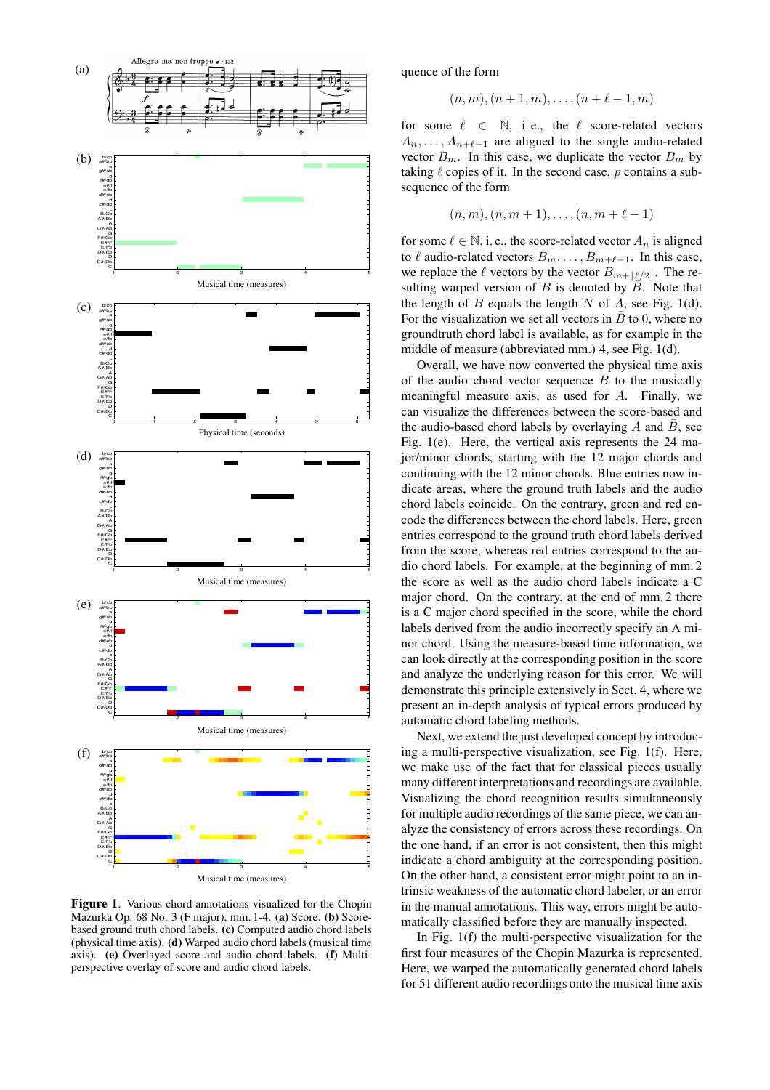

**Figure 1**. Various chord annotations visualized for the Chopin Mazurka Op. 68 No. 3 (F major), mm. 1-4. **(a)** Score. **(b)** Scorebased ground truth chord labels. **(c)** Computed audio chord labels (physical time axis). **(d)** Warped audio chord labels (musical time axis). **(e)** Overlayed score and audio chord labels. **(f)** Multiperspective overlay of score and audio chord labels.

quence of the form

$$
(n, m), (n + 1, m), \ldots, (n + \ell - 1, m)
$$

for some  $\ell \in \mathbb{N}$ , i.e., the  $\ell$  score-related vectors  $A_n, \ldots, A_{n+\ell-1}$  are aligned to the single audio-related vector  $B_m$ . In this case, we duplicate the vector  $B_m$  by taking  $\ell$  copies of it. In the second case, p contains a subsequence of the form

$$
(n, m), (n, m + 1), \ldots, (n, m + \ell - 1)
$$

for some  $\ell \in \mathbb{N}$ , i. e., the score-related vector  $A_n$  is aligned to  $\ell$  audio-related vectors  $B_m, \ldots, B_{m+\ell-1}$ . In this case, we replace the  $\ell$  vectors by the vector  $B_{m+\lfloor \ell/2 \rfloor}$ . The resulting warped version of  $B$  is denoted by  $\overline{B}$ . Note that the length of  $\bar{B}$  equals the length N of A, see Fig. 1(d). For the visualization we set all vectors in  $\overline{B}$  to 0, where no groundtruth chord label is available, as for example in the middle of measure (abbreviated mm.) 4, see Fig. 1(d).

Overall, we have now converted the physical time axis of the audio chord vector sequence  $B$  to the musically meaningful measure axis, as used for A. Finally, we can visualize the differences between the score-based and the audio-based chord labels by overlaying  $A$  and  $B$ , see Fig. 1(e). Here, the vertical axis represents the 24 major/minor chords, starting with the 12 major chords and continuing with the 12 minor chords. Blue entries now indicate areas, where the ground truth labels and the audio chord labels coincide. On the contrary, green and red encode the differences between the chord labels. Here, green entries correspond to the ground truth chord labels derived from the score, whereas red entries correspond to the audio chord labels. For example, at the beginning of mm. 2 the score as well as the audio chord labels indicate a C major chord. On the contrary, at the end of mm. 2 there is a C major chord specified in the score, while the chord labels derived from the audio incorrectly specify an A minor chord. Using the measure-based time information, we can look directly at the corresponding position in the score and analyze the underlying reason for this error. We will demonstrate this principle extensively in Sect. 4, where we present an in-depth analysis of typical errors produced by automatic chord labeling methods.

Next, we extend the just developed concept by introducing a multi-perspective visualization, see Fig. 1(f). Here, we make use of the fact that for classical pieces usually many different interpretations and recordings are available. Visualizing the chord recognition results simultaneously for multiple audio recordings of the same piece, we can analyze the consistency of errors across these recordings. On the one hand, if an error is not consistent, then this might indicate a chord ambiguity at the corresponding position. On the other hand, a consistent error might point to an intrinsic weakness of the automatic chord labeler, or an error in the manual annotations. This way, errors might be automatically classified before they are manually inspected.

In Fig. 1(f) the multi-perspective visualization for the first four measures of the Chopin Mazurka is represented. Here, we warped the automatically generated chord labels for 51 different audio recordings onto the musical time axis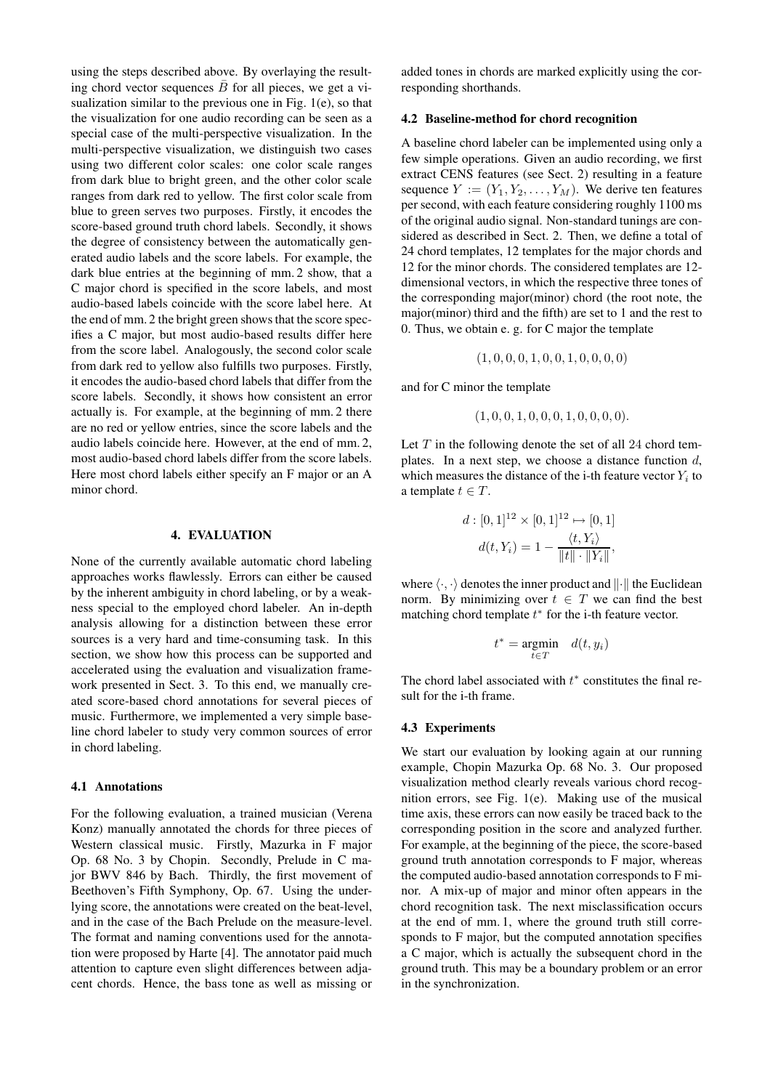using the steps described above. By overlaying the resulting chord vector sequences  $\bar{B}$  for all pieces, we get a visualization similar to the previous one in Fig. 1(e), so that the visualization for one audio recording can be seen as a special case of the multi-perspective visualization. In the multi-perspective visualization, we distinguish two cases using two different color scales: one color scale ranges from dark blue to bright green, and the other color scale ranges from dark red to yellow. The first color scale from blue to green serves two purposes. Firstly, it encodes the score-based ground truth chord labels. Secondly, it shows the degree of consistency between the automatically generated audio labels and the score labels. For example, the dark blue entries at the beginning of mm. 2 show, that a C major chord is specified in the score labels, and most audio-based labels coincide with the score label here. At the end of mm. 2 the bright green shows that the score specifies a C major, but most audio-based results differ here from the score label. Analogously, the second color scale from dark red to yellow also fulfills two purposes. Firstly, it encodes the audio-based chord labels that differ from the score labels. Secondly, it shows how consistent an error actually is. For example, at the beginning of mm. 2 there are no red or yellow entries, since the score labels and the audio labels coincide here. However, at the end of mm. 2, most audio-based chord labels differ from the score labels. Here most chord labels either specify an F major or an A minor chord.

#### **4. EVALUATION**

None of the currently available automatic chord labeling approaches works flawlessly. Errors can either be caused by the inherent ambiguity in chord labeling, or by a weakness special to the employed chord labeler. An in-depth analysis allowing for a distinction between these error sources is a very hard and time-consuming task. In this section, we show how this process can be supported and accelerated using the evaluation and visualization framework presented in Sect. 3. To this end, we manually created score-based chord annotations for several pieces of music. Furthermore, we implemented a very simple baseline chord labeler to study very common sources of error in chord labeling.

#### **4.1 Annotations**

For the following evaluation, a trained musician (Verena Konz) manually annotated the chords for three pieces of Western classical music. Firstly, Mazurka in F major Op. 68 No. 3 by Chopin. Secondly, Prelude in C major BWV 846 by Bach. Thirdly, the first movement of Beethoven's Fifth Symphony, Op. 67. Using the underlying score, the annotations were created on the beat-level, and in the case of the Bach Prelude on the measure-level. The format and naming conventions used for the annotation were proposed by Harte [4]. The annotator paid much attention to capture even slight differences between adjacent chords. Hence, the bass tone as well as missing or

added tones in chords are marked explicitly using the corresponding shorthands.

#### **4.2 Baseline-method for chord recognition**

A baseline chord labeler can be implemented using only a few simple operations. Given an audio recording, we first extract CENS features (see Sect. 2) resulting in a feature sequence  $Y := (Y_1, Y_2, \dots, Y_M)$ . We derive ten features per second, with each feature considering roughly 1100 ms of the original audio signal. Non-standard tunings are considered as described in Sect. 2. Then, we define a total of 24 chord templates, 12 templates for the major chords and 12 for the minor chords. The considered templates are 12 dimensional vectors, in which the respective three tones of the corresponding major(minor) chord (the root note, the major(minor) third and the fifth) are set to 1 and the rest to 0. Thus, we obtain e. g. for C major the template

$$
(1,0,0,0,1,0,0,1,0,0,0,0)\\
$$

and for C minor the template

$$
(1,0,0,1,0,0,0,1,0,0,0,0).
$$

Let  $T$  in the following denote the set of all 24 chord templates. In a next step, we choose a distance function  $d$ , which measures the distance of the i-th feature vector  $Y_i$  to a template  $t \in T$ .

$$
d: [0,1]^{12} \times [0,1]^{12} \mapsto [0,1]
$$

$$
d(t,Y_i) = 1 - \frac{\langle t, Y_i \rangle}{\|t\| \cdot \|Y_i\|},
$$

where  $\langle \cdot, \cdot \rangle$  denotes the inner product and  $\|\cdot\|$  the Euclidean norm. By minimizing over  $t \in T$  we can find the best matching chord template  $t^*$  for the i-th feature vector.

$$
t^* = \underset{t \in T}{\text{argmin}} \quad d(t, y_i)
$$

The chord label associated with  $t^*$  constitutes the final result for the i-th frame.

#### **4.3 Experiments**

We start our evaluation by looking again at our running example, Chopin Mazurka Op. 68 No. 3. Our proposed visualization method clearly reveals various chord recognition errors, see Fig. 1(e). Making use of the musical time axis, these errors can now easily be traced back to the corresponding position in the score and analyzed further. For example, at the beginning of the piece, the score-based ground truth annotation corresponds to F major, whereas the computed audio-based annotation corresponds to F minor. A mix-up of major and minor often appears in the chord recognition task. The next misclassification occurs at the end of mm. 1, where the ground truth still corresponds to F major, but the computed annotation specifies a C major, which is actually the subsequent chord in the ground truth. This may be a boundary problem or an error in the synchronization.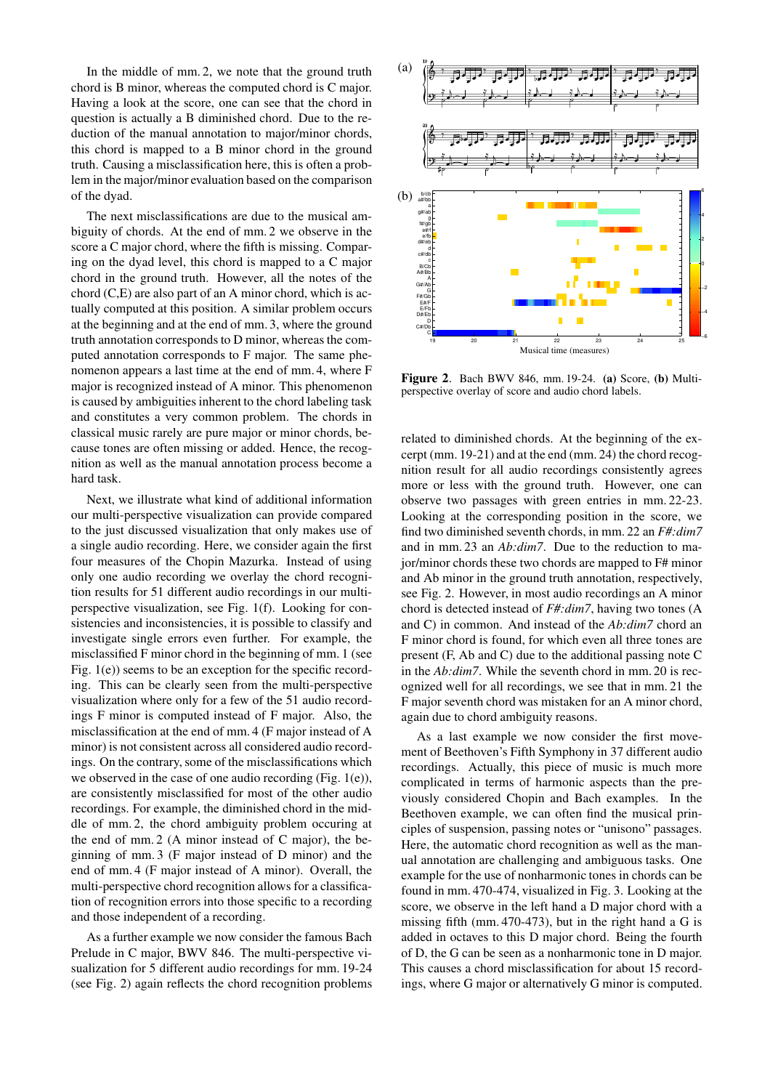In the middle of mm. 2, we note that the ground truth chord is B minor, whereas the computed chord is C major. Having a look at the score, one can see that the chord in question is actually a B diminished chord. Due to the reduction of the manual annotation to major/minor chords, this chord is mapped to a B minor chord in the ground truth. Causing a misclassification here, this is often a problem in the major/minor evaluation based on the comparison of the dyad.

The next misclassifications are due to the musical ambiguity of chords. At the end of mm. 2 we observe in the score a C major chord, where the fifth is missing. Comparing on the dyad level, this chord is mapped to a C major chord in the ground truth. However, all the notes of the chord (C,E) are also part of an A minor chord, which is actually computed at this position. A similar problem occurs at the beginning and at the end of mm. 3, where the ground truth annotation corresponds to D minor, whereas the computed annotation corresponds to F major. The same phenomenon appears a last time at the end of mm. 4, where F major is recognized instead of A minor. This phenomenon is caused by ambiguities inherent to the chord labeling task and constitutes a very common problem. The chords in classical music rarely are pure major or minor chords, because tones are often missing or added. Hence, the recognition as well as the manual annotation process become a hard task.

Next, we illustrate what kind of additional information our multi-perspective visualization can provide compared to the just discussed visualization that only makes use of a single audio recording. Here, we consider again the first four measures of the Chopin Mazurka. Instead of using only one audio recording we overlay the chord recognition results for 51 different audio recordings in our multiperspective visualization, see Fig. 1(f). Looking for consistencies and inconsistencies, it is possible to classify and investigate single errors even further. For example, the misclassified F minor chord in the beginning of mm. 1 (see Fig. 1(e)) seems to be an exception for the specific recording. This can be clearly seen from the multi-perspective visualization where only for a few of the 51 audio recordings F minor is computed instead of F major. Also, the misclassification at the end of mm. 4 (F major instead of A minor) is not consistent across all considered audio recordings. On the contrary, some of the misclassifications which we observed in the case of one audio recording (Fig. 1(e)), are consistently misclassified for most of the other audio recordings. For example, the diminished chord in the middle of mm. 2, the chord ambiguity problem occuring at the end of mm. 2 (A minor instead of C major), the beginning of mm. 3 (F major instead of D minor) and the end of mm. 4 (F major instead of A minor). Overall, the multi-perspective chord recognition allows for a classification of recognition errors into those specific to a recording and those independent of a recording.

As a further example we now consider the famous Bach Prelude in C major, BWV 846. The multi-perspective visualization for 5 different audio recordings for mm. 19-24 (see Fig. 2) again reflects the chord recognition problems



**Figure 2**. Bach BWV 846, mm. 19-24. **(a)** Score, **(b)** Multiperspective overlay of score and audio chord labels.

related to diminished chords. At the beginning of the excerpt (mm. 19-21) and at the end (mm. 24) the chord recognition result for all audio recordings consistently agrees more or less with the ground truth. However, one can observe two passages with green entries in mm. 22-23. Looking at the corresponding position in the score, we find two diminished seventh chords, in mm. 22 an *F#:dim7* and in mm. 23 an *Ab:dim7*. Due to the reduction to major/minor chords these two chords are mapped to F# minor and Ab minor in the ground truth annotation, respectively, see Fig. 2. However, in most audio recordings an A minor chord is detected instead of *F#:dim7*, having two tones (A and C) in common. And instead of the *Ab:dim7* chord an F minor chord is found, for which even all three tones are present (F, Ab and C) due to the additional passing note C in the *Ab:dim7*. While the seventh chord in mm. 20 is recognized well for all recordings, we see that in mm. 21 the F major seventh chord was mistaken for an A minor chord, again due to chord ambiguity reasons.

As a last example we now consider the first movement of Beethoven's Fifth Symphony in 37 different audio recordings. Actually, this piece of music is much more complicated in terms of harmonic aspects than the previously considered Chopin and Bach examples. In the Beethoven example, we can often find the musical principles of suspension, passing notes or "unisono" passages. Here, the automatic chord recognition as well as the manual annotation are challenging and ambiguous tasks. One example for the use of nonharmonic tones in chords can be found in mm. 470-474, visualized in Fig. 3. Looking at the score, we observe in the left hand a D major chord with a missing fifth (mm. 470-473), but in the right hand a G is added in octaves to this D major chord. Being the fourth of D, the G can be seen as a nonharmonic tone in D major. This causes a chord misclassification for about 15 recordings, where G major or alternatively G minor is computed.